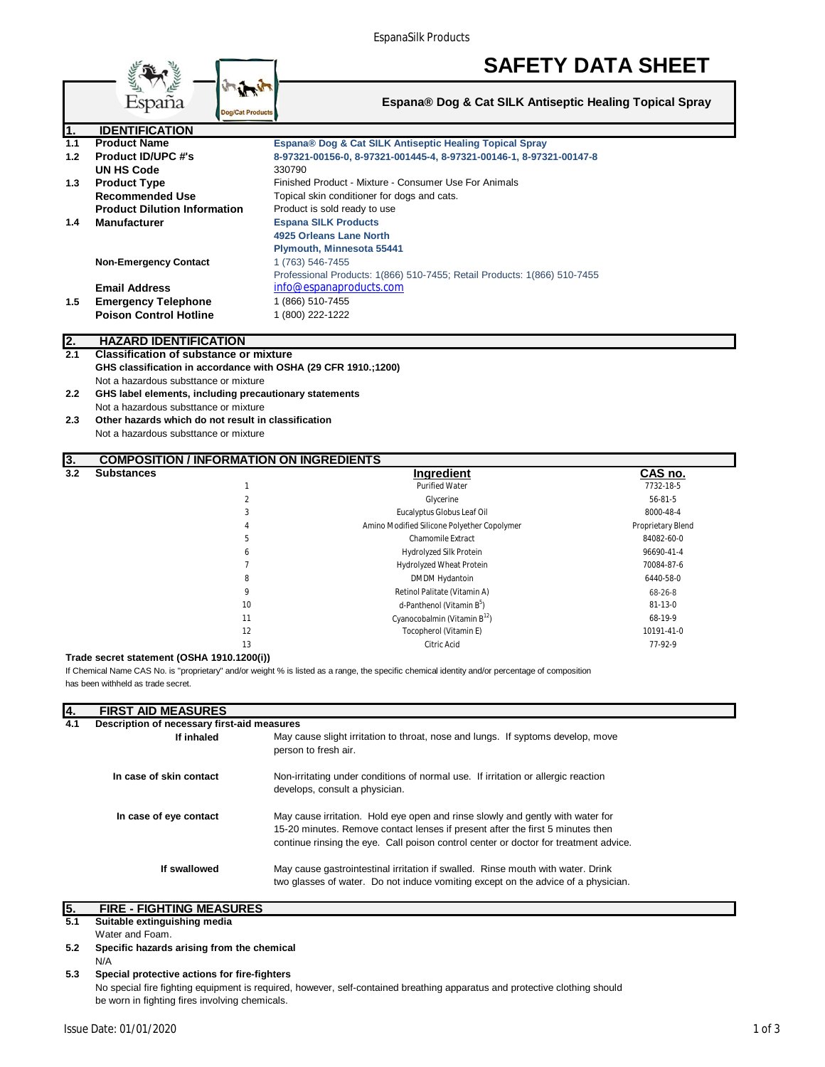EspanaSilk Products

|               |                                                                | <b>SAFETY DATA SHEET</b>                                                 |
|---------------|----------------------------------------------------------------|--------------------------------------------------------------------------|
|               | España<br><b>Dog/Cat Products</b>                              | Espana® Dog & Cat SILK Antiseptic Healing Topical Spray                  |
|               | <b>IDENTIFICATION</b>                                          |                                                                          |
| 1.1           | <b>Product Name</b>                                            | Espana® Dog & Cat SILK Antiseptic Healing Topical Spray                  |
| 1.2           | <b>Product ID/UPC #'s</b>                                      | 8-97321-00156-0, 8-97321-001445-4, 8-97321-00146-1, 8-97321-00147-8      |
|               | <b>UN HS Code</b>                                              | 330790                                                                   |
| 1.3           | <b>Product Type</b>                                            | Finished Product - Mixture - Consumer Use For Animals                    |
|               | <b>Recommended Use</b>                                         | Topical skin conditioner for dogs and cats.                              |
|               | <b>Product Dilution Information</b>                            | Product is sold ready to use                                             |
| $1.4^{\circ}$ | <b>Manufacturer</b>                                            | <b>Espana SILK Products</b>                                              |
|               |                                                                | 4925 Orleans Lane North                                                  |
|               |                                                                | Plymouth, Minnesota 55441                                                |
|               | <b>Non-Emergency Contact</b>                                   | 1 (763) 546-7455                                                         |
|               |                                                                | Professional Products: 1(866) 510-7455; Retail Products: 1(866) 510-7455 |
|               | <b>Email Address</b>                                           | info@espanaproducts.com                                                  |
| 1.5           | <b>Emergency Telephone</b>                                     | 1 (866) 510-7455                                                         |
|               | <b>Poison Control Hotline</b>                                  | 1 (800) 222-1222                                                         |
| I2.           | <b>HAZARD IDENTIFICATION</b>                                   |                                                                          |
| 2.1           | <b>Classification of substance or mixture</b>                  |                                                                          |
|               |                                                                |                                                                          |
|               | GHS classification in accordance with OSHA (29 CFR 1910.;1200) |                                                                          |

Not a hazardous substtance or mixture **2.2 GHS label elements, including precautionary statements**

Not a hazardous substtance or mixture

**2.3 Other hazards which do not result in classification** Not a hazardous substtance or mixture

# **3. COMPOSITION / INFORMATION ON INGREDIENTS**<br>**3.2** Substances

| --<br>3.2 | <b>Substances</b> |                | <b>Ingredient</b>                           | CAS no.           |
|-----------|-------------------|----------------|---------------------------------------------|-------------------|
|           |                   |                | <b>Purified Water</b>                       | 7732-18-5         |
|           |                   | $\mathfrak{p}$ | Glycerine                                   | 56-81-5           |
|           |                   | 3              | Eucalyptus Globus Leaf Oil                  | 8000-48-4         |
|           |                   | 4              | Amino Modified Silicone Polyether Copolymer | Proprietary Blend |
|           |                   | 5              | Chamomile Extract                           | 84082-60-0        |
|           |                   | 6              | Hydrolyzed Silk Protein                     | 96690-41-4        |
|           |                   |                | <b>Hydrolyzed Wheat Protein</b>             | 70084-87-6        |
|           |                   | 8              | DMDM Hydantoin                              | 6440-58-0         |
|           |                   | 9              | Retinol Palitate (Vitamin A)                | 68-26-8           |
|           |                   | 10             | d-Panthenol (Vitamin B <sup>5</sup> )       | $81 - 13 - 0$     |
|           |                   | 11             | Cyanocobalmin (Vitamin $B12$ )              | 68-19-9           |
|           |                   | 12             | Tocopherol (Vitamin E)                      | 10191-41-0        |
|           |                   | 13             | Citric Acid                                 | 77-92-9           |

#### **Trade secret statement (OSHA 1910.1200(i))**

If Chemical Name CAS No. is "proprietary" and/or weight % is listed as a range, the specific chemical identity and/or percentage of composition has been withheld as trade secret.

| <u>14.</u>                                         | <b>FIRST AID MEASURES</b> |                                                                                                                                                                                                                                                          |
|----------------------------------------------------|---------------------------|----------------------------------------------------------------------------------------------------------------------------------------------------------------------------------------------------------------------------------------------------------|
| Description of necessary first-aid measures<br>4.1 |                           |                                                                                                                                                                                                                                                          |
|                                                    | If inhaled                | May cause slight irritation to throat, nose and lungs. If syptoms develop, move<br>person to fresh air.                                                                                                                                                  |
|                                                    | In case of skin contact   | Non-irritating under conditions of normal use. If irritation or allergic reaction<br>develops, consult a physician.                                                                                                                                      |
|                                                    | In case of eye contact    | May cause irritation. Hold eye open and rinse slowly and gently with water for<br>15-20 minutes. Remove contact lenses if present after the first 5 minutes then<br>continue rinsing the eye. Call poison control center or doctor for treatment advice. |
|                                                    | If swallowed              | May cause gastrointestinal irritation if swalled. Rinse mouth with water. Drink<br>two glasses of water. Do not induce vomiting except on the advice of a physician.                                                                                     |

## **5. FIRE - FIGHTING MEASURES**

**5.1 Suitable extinguishing media**

Water and Foam.

**5.2 Specific hazards arising from the chemical** N/A

**<sup>5.3</sup> Special protective actions for fire-fighters** No special fire fighting equipment is required, however, self-contained breathing apparatus and protective clothing should be worn in fighting fires involving chemicals.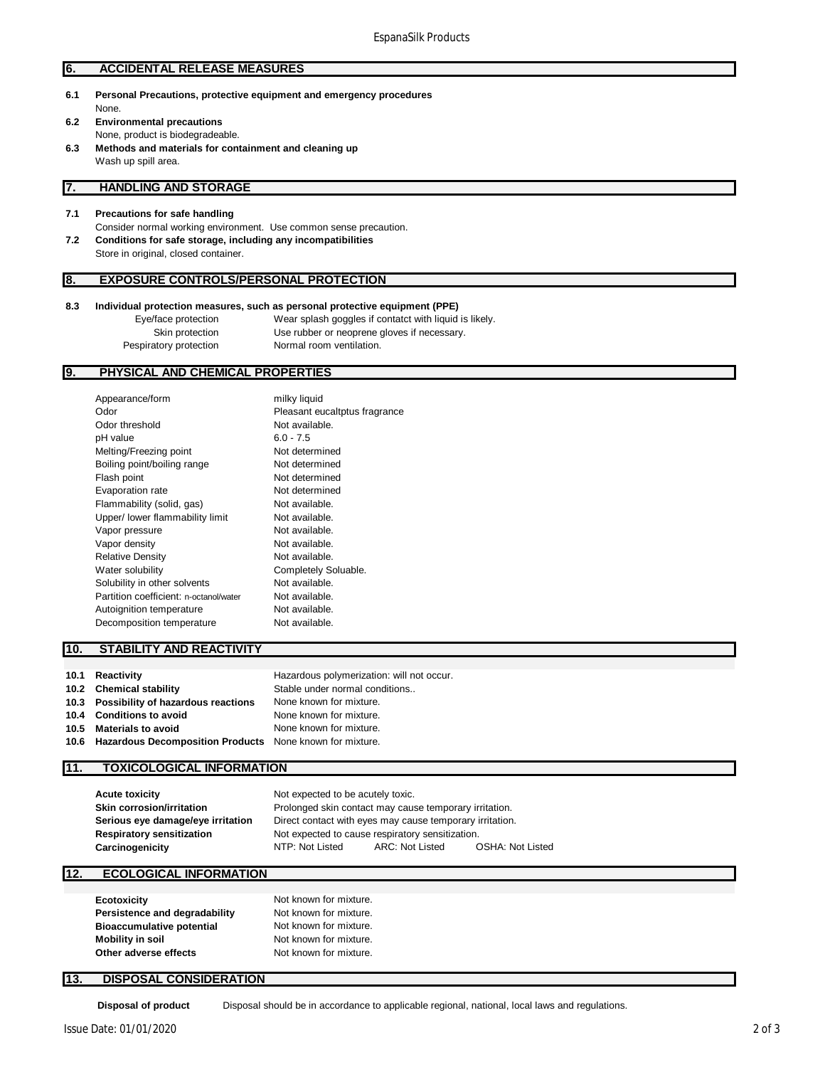#### **6. ACCIDENTAL RELEASE MEASURES**

- **6.1 Personal Precautions, protective equipment and emergency procedures** None. **6.2 Environmental precautions**
- None, product is biodegradeable.
- **6.3 Methods and materials for containment and cleaning up** Wash up spill area.

#### **7. HANDLING AND STORAGE**

- **7.1 Precautions for safe handling**
- Consider normal working environment. Use common sense precaution. **7.2 Conditions for safe storage, including any incompatibilities** Store in original, closed container.

#### **8. EXPOSURE CONTROLS/PERSONAL PROTECTION**

#### **8.3 Individual protection measures, such as personal protective equipment (PPE)**

Eye/face protection Wear splash goggles if contatct with liquid is likely. Skin protection Use rubber or neoprene gloves if necessary. Pespiratory protection Normal room ventilation.

#### **9. PHYSICAL AND CHEMICAL PROPERTIES**

| Appearance/form                        | milky liquid                  |
|----------------------------------------|-------------------------------|
| Odor                                   | Pleasant eucaltptus fragrance |
| Odor threshold                         | Not available.                |
| pH value                               | $6.0 - 7.5$                   |
| Melting/Freezing point                 | Not determined                |
| Boiling point/boiling range            | Not determined                |
| Flash point                            | Not determined                |
| Evaporation rate                       | Not determined                |
| Flammability (solid, gas)              | Not available.                |
| Upper/ lower flammability limit        | Not available.                |
| Vapor pressure                         | Not available.                |
| Vapor density                          | Not available.                |
| <b>Relative Density</b>                | Not available.                |
| Water solubility                       | Completely Soluable.          |
| Solubility in other solvents           | Not available.                |
| Partition coefficient: n-octanol/water | Not available.                |
| Autoignition temperature               | Not available.                |
| Decomposition temperature              | Not available.                |
|                                        |                               |

#### **10. STABILITY AND REACTIVITY**

| 10.1 | Reactivity                                                    | Hazardous polymerization: will not occur. |
|------|---------------------------------------------------------------|-------------------------------------------|
|      | 10.2 Chemical stability                                       | Stable under normal conditions            |
|      | 10.3 Possibility of hazardous reactions                       | None known for mixture.                   |
|      | 10.4 Conditions to avoid                                      | None known for mixture.                   |
| 10.5 | <b>Materials to avoid</b>                                     | None known for mixture.                   |
|      | 10.6 Hazardous Decomposition Products None known for mixture. |                                           |
|      |                                                               |                                           |

#### **11. TOXICOLOGICAL INFORMATION**

| Not expected to cause respiratory sensitization. |                 |                                   |                                                                                                                    |
|--------------------------------------------------|-----------------|-----------------------------------|--------------------------------------------------------------------------------------------------------------------|
| NTP: Not Listed                                  | ARC: Not Listed | <b>OSHA: Not Listed</b>           |                                                                                                                    |
|                                                  |                 | Not expected to be acutely toxic. | Prolonged skin contact may cause temporary irritation.<br>Direct contact with eyes may cause temporary irritation. |

#### **12. ECOLOGICAL INFORMATION**

| <b>Ecotoxicity</b>               | Not known for mixture. |
|----------------------------------|------------------------|
| Persistence and degradability    | Not known for mixture. |
| <b>Bioaccumulative potential</b> | Not known for mixture. |
| Mobility in soil                 | Not known for mixture. |
| Other adverse effects            | Not known for mixture. |

#### **13. DISPOSAL CONSIDERATION**

**Disposal of product** Disposal should be in accordance to applicable regional, national, local laws and regulations.